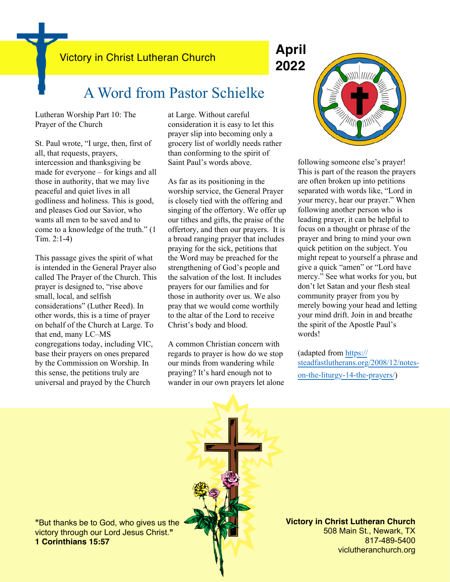Victory in Christ Lutheran Church **April**

# **2022**

## A Word from Pastor Schielke

Lutheran Worship Part 10: The Prayer of the Church

St. Paul wrote, "I urge, then, first of all, that requests, prayers, intercession and thanksgiving be made for everyone – for kings and all those in authority, that we may live peaceful and quiet lives in all godliness and holiness. This is good, and pleases God our Savior, who wants all men to be saved and to come to a knowledge of the truth." (1 Tim. 2:1-4)

This passage gives the spirit of what is intended in the General Prayer also called The Prayer of the Church. This prayer is designed to, "rise above small, local, and selfish considerations" (Luther Reed). In other words, this is a time of prayer on behalf of the Church at Large. To that end, many LC–MS congregations today, including VIC, base their prayers on ones prepared by the Commission on Worship. In this sense, the petitions truly are universal and prayed by the Church

at Large. Without careful consideration it is easy to let this prayer slip into becoming only a grocery list of worldly needs rather than conforming to the spirit of Saint Paul's words above.

As far as its positioning in the worship service, the General Prayer is closely tied with the offering and singing of the offertory. We offer up our tithes and gifts, the praise of the offertory, and then our prayers. It is a broad ranging prayer that includes praying for the sick, petitions that the Word may be preached for the strengthening of God's people and the salvation of the lost. It includes prayers for our families and for those in authority over us. We also pray that we would come worthily to the altar of the Lord to receive Christ's body and blood.

A common Christian concern with regards to prayer is how do we stop our minds from wandering while praying? It's hard enough not to wander in our own prayers let alone



following someone else's prayer! This is part of the reason the prayers are often broken up into petitions separated with words like, "Lord in your mercy, hear our prayer." When following another person who is leading prayer, it can be helpful to focus on a thought or phrase of the prayer and bring to mind your own quick petition on the subject. You might repeat to yourself a phrase and give a quick "amen" or "Lord have mercy." See what works for you, but don't let Satan and your flesh steal community prayer from you by merely bowing your head and letting your mind drift. Join in and breathe the spirit of the Apostle Paul's words!

(adapted from [https://](https://steadfastlutherans.org/2008/12/notes-on-the-liturgy-14-the-prayers/) [steadfastlutherans.org/2008/12/notes](https://steadfastlutherans.org/2008/12/notes-on-the-liturgy-14-the-prayers/)[on-the-liturgy-14-the-prayers/](https://steadfastlutherans.org/2008/12/notes-on-the-liturgy-14-the-prayers/))

**"**But thanks be to God, who gives us the victory through our Lord Jesus Christ.**" 1 Corinthians 15:57**

**Victory in Christ Lutheran Church** 508 Main St., Newark, TX 817-489-5400 viclutheranchurch.org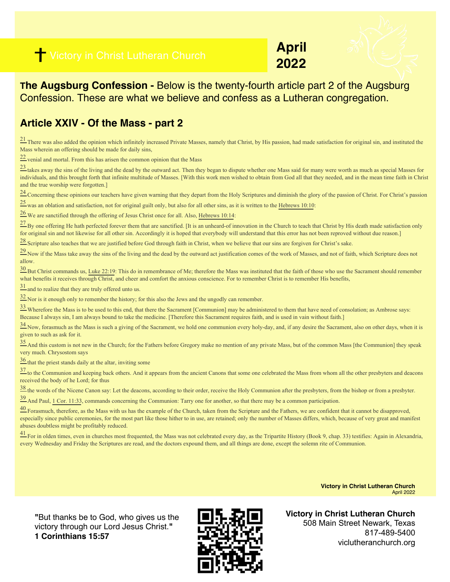

**April**



**The Augsburg Confession -** Below is the twenty-fourth article part 2 of the Augsburg Confession. These are what we believe and confess as a Lutheran congregation.

### **Article XXIV - Of the Mass - part 2**

<sup>21</sup> There was also added the opinion which infinitely increased Private Masses, namely that Christ, by His passion, had made satisfaction for original sin, and instituted the Mass wherein an offering should be made for daily sins,

[22](https://boc.confident.faith/ac-xxiv-0022) venial and mortal. From this has arisen the common opinion that the Mass

 $\frac{23}{23}$  takes away the sins of the living and the dead by the outward act. Then they began to dispute whether one Mass said for many were worth as much as special Masses for individuals, and this brought forth that infinite multitude of Masses. [With this work men wished to obtain from God all that they needed, and in the mean time faith in Christ and the true worship were forgotten.]

<sup>24</sup> Concerning these opinions our teachers have given warning that they depart from the Holy Scriptures and diminish the glory of the passion of Christ. For Christ's passion

[25](https://boc.confident.faith/ac-xxiv-0025) was an oblation and satisfaction, not for original guilt only, but also for all other sins, as it is written to the [Hebrews 10:10:](https://biblia.com/bible/esv/Heb%2010.10)

[26](https://boc.confident.faith/ac-xxiv-0026) We are sanctified through the offering of Jesus Christ once for all. Also, [Hebrews 10:14:](https://biblia.com/bible/esv/Heb%2010.14)

 $\frac{27}{2}$  By one offering He hath perfected forever them that are sanctified. [It is an unheard-of innovation in the Church to teach that Christ by His death made satisfaction only for original sin and not likewise for all other sin. Accordingly it is hoped that everybody will understand that this error has not been reproved without due reason.]

[28](https://boc.confident.faith/ac-xxiv-0028) Scripture also teaches that we are justified before God through faith in Christ, when we believe that our sins are forgiven for Christ's sake.

<sup>29</sup> Now if the Mass take away the sins of the living and the dead by the outward act justification comes of the work of Masses, and not of faith, which Scripture does not allow.

 $\frac{30}{20}$  But Christ commands us, [Luke 22:19:](https://biblia.com/bible/esv/Luke%2022.19) This do in remembrance of Me; therefore the Mass was instituted that the faith of those who use the Sacrament should remember what benefits it receives through Christ, and cheer and comfort the anxious conscience. For to remember Christ is to remember His benefits,

 $\frac{31}{2}$  and to realize that they are truly offered unto us.

 $\frac{32}{2}$  Nor is it enough only to remember the history; for this also the Jews and the ungodly can remember.

<sup>33</sup> Wherefore the Mass is to be used to this end, that there the Sacrament [Communion] may be administered to them that have need of consolation; as Ambrose says: Because I always sin, I am always bound to take the medicine. [Therefore this Sacrament requires faith, and is used in vain without faith.]

 $\frac{34}{2}$  Now, forasmuch as the Mass is such a giving of the Sacrament, we hold one communion every holy-day, and, if any desire the Sacrament, also on other days, when it is given to such as ask for it.

[35](https://boc.confident.faith/ac-xxiv-0035) And this custom is not new in the Church; for the Fathers before Gregory make no mention of any private Mass, but of the common Mass [the Communion] they speak very much. Chrysostom says

[36](https://boc.confident.faith/ac-xxiv-0036) that the priest stands daily at the altar, inviting some

 $\frac{37}{21}$  to the Communion and keeping back others. And it appears from the ancient Canons that some one celebrated the Mass from whom all the other presbyters and deacons received the body of he Lord; for thus

[38](https://boc.confident.faith/ac-xxiv-0038) the words of the Nicene Canon say: Let the deacons, according to their order, receive the Holy Communion after the presbyters, from the bishop or from a presbyter.

 $\frac{39}{2}$  And Paul, [1 Cor. 11:33](https://biblia.com/bible/esv/1%20Cor.%2011.33), commands concerning the Communion: Tarry one for another, so that there may be a common participation.

 $\frac{40}{2}$  Forasmuch, therefore, as the Mass with us has the example of the Church, taken from the Scripture and the Fathers, we are confident that it cannot be disapproved, especially since public ceremonies, for the most part like those hither to in use, are retained; only the number of Masses differs, which, because of very great and manifest abuses doubtless might be profitably reduced.

 $\frac{41}{2}$  For in olden times, even in churches most frequented, the Mass was not celebrated every day, as the Tripartite History (Book 9, chap. 33) testifies: Again in Alexandria, every Wednesday and Friday the Scriptures are read, and the doctors expound them, and all things are done, except the solemn rite of Communion.

> **Victory in Christ Lutheran Church**  April 2022

**"**But thanks be to God, who gives us the victory through our Lord Jesus Christ.**" 1 Corinthians 15:57**



**Victory in Christ Lutheran Church** 508 Main Street Newark, Texas 817-489-5400 viclutheranchurch.org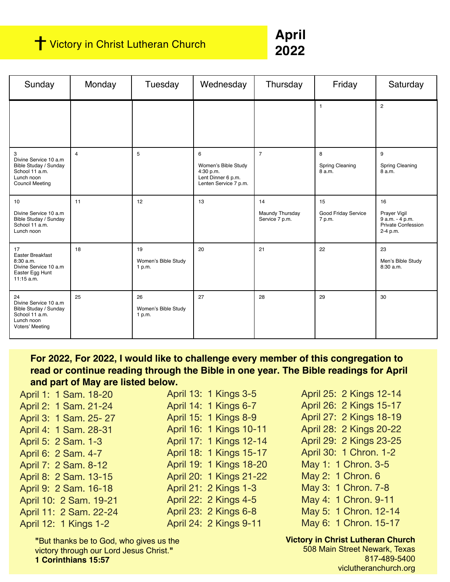## **T** Victory in Christ Lutheran Church

**April 2022**

| Sunday                                                                                                        | Monday         | Tuesday                             | Wednesday                                                                            | Thursday                                | Friday                                | Saturday                                                                       |
|---------------------------------------------------------------------------------------------------------------|----------------|-------------------------------------|--------------------------------------------------------------------------------------|-----------------------------------------|---------------------------------------|--------------------------------------------------------------------------------|
|                                                                                                               |                |                                     |                                                                                      |                                         | $\mathbf{1}$                          | $\overline{c}$                                                                 |
| 3<br>Divine Service 10 a.m<br>Bible Studay / Sunday<br>School 11 a.m.<br>Lunch noon<br><b>Council Meeting</b> | $\overline{4}$ | 5                                   | 6<br>Women's Bible Study<br>4:30 p.m.<br>Lent Dinner 6 p.m.<br>Lenten Service 7 p.m. | $\overline{7}$                          | 8<br><b>Spring Cleaning</b><br>8 a.m. | 9<br><b>Spring Cleaning</b><br>8 a.m.                                          |
| 10<br>Divine Service 10 a.m.<br>Bible Studay / Sunday<br>School 11 a.m.<br>Lunch noon                         | 11             | 12                                  | 13                                                                                   | 14<br>Maundy Thursday<br>Service 7 p.m. | 15<br>Good Friday Service<br>7 p.m.   | 16<br>Prayer Vigil<br>9 a.m. - 4 p.m.<br><b>Private Confession</b><br>2-4 p.m. |
| 17<br>Easter Breakfast<br>8:30 a.m.<br>Divine Service 10 a.m<br>Easter Egg Hunt<br>$11:15$ a.m.               | 18             | 19<br>Women's Bible Study<br>1 p.m. | 20                                                                                   | 21                                      | 22                                    | 23<br>Men's Bible Study<br>8:30 a.m.                                           |
| 24<br>Divine Service 10 a.m<br>Bible Studay / Sunday<br>School 11 a.m.<br>Lunch noon<br>Voters' Meeting       | 25             | 26<br>Women's Bible Study<br>1 p.m. | 27                                                                                   | 28                                      | 29                                    | 30                                                                             |

**For 2022, For 2022, I would like to challenge every member of this congregation to read or continue reading through the Bible in one year. The Bible readings for April and part of May are listed below.**

| April 1: 1 Sam. 18-20  |
|------------------------|
| April 2: 1 Sam. 21-24  |
| April 3: 1 Sam. 25-27  |
| April 4: 1 Sam. 28-31  |
| April 5: 2 Sam. 1-3    |
| April 6: 2 Sam. 4-7    |
| April 7: 2 Sam. 8-12   |
| April 8: 2 Sam. 13-15  |
| April 9: 2 Sam. 16-18  |
| April 10: 2 Sam. 19-21 |
| April 11: 2 Sam. 22-24 |
| April 12: 1 Kings 1-2  |

April 13: 1 Kings 3-5 April 14: 1 Kings 6-7 April 15: 1 Kings 8-9 April 16: 1 Kings 10-11 April 17: 1 Kings 12-14 April 18: 1 Kings 15-17 April 19: 1 Kings 18-20 April 20: 1 Kings 21-22 April 21: 2 Kings 1-3 April 22: 2 Kings 4-5 April 23: 2 Kings 6-8 April 24: 2 Kings 9-11

April 25: 2 Kings 12-14 April 26: 2 Kings 15-17 April 27: 2 Kings 18-19 April 28: 2 Kings 20-22 April 29: 2 Kings 23-25 April 30: 1 Chron. 1-2 May 1: 1 Chron. 3-5 May 2: 1 Chron. 6 May 3: 1 Chron. 7-8 May 4: 1 Chron. 9-11 May 5: 1 Chron. 12-14 May 6: 1 Chron. 15-17

**Victory in Christ Lutheran Church** 508 Main Street Newark, Texas 817-489-5400 viclutheranchurch.org

**"**But thanks be to God, who gives us the victory through our Lord Jesus Christ.**" 1 Corinthians 15:57**